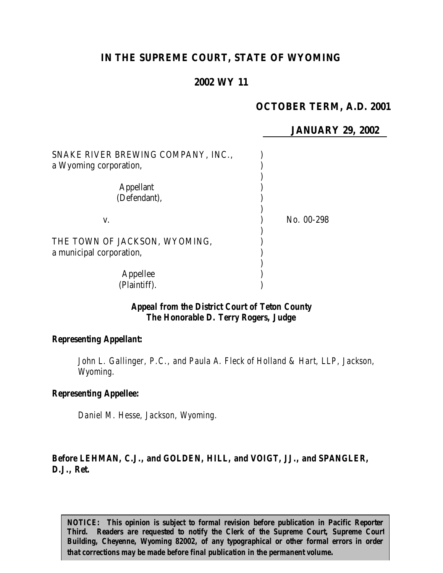# **IN THE SUPREME COURT, STATE OF WYOMING**

# **2002 WY 11**

### **OCTOBER TERM, A.D. 2001**

### **JANUARY 29, 2002**

| SNAKE RIVER BREWING COMPANY, INC.,<br>a Wyoming corporation, |              |
|--------------------------------------------------------------|--------------|
| <b>Appellant</b><br>(Defendant),                             |              |
| V.                                                           | $No. 00-298$ |
| THE TOWN OF JACKSON, WYOMING,<br>a municipal corporation,    |              |
| Appellee<br>(Plaintiff).                                     |              |

# *Appeal from the District Court of Teton County The Honorable D. Terry Rogers, Judge*

#### *Representing Appellant:*

John L. Gallinger, P.C., and Paula A. Fleck of Holland & Hart, LLP, Jackson, *Wyoming.*

#### *Representing Appellee:*

*Daniel M. Hesse, Jackson, Wyoming.*

### *Before LEHMAN, C.J., and GOLDEN, HILL, and VOIGT, JJ., and SPANGLER, D.J., Ret.*

*NOTICE:* This opinion is subject to formal revision before publication in Pacific Reporter *Third. Readers are requested to notify the Clerk of the Supreme Court, Supreme Court Building, Cheyenne, Wyoming 82002, of any typographical or other formal errors in order that corrections may be made before final publication in the permanent volume.*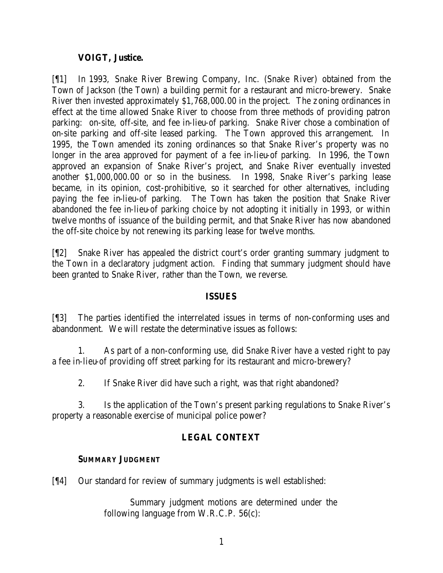## **VOIGT, Justice.**

[¶1] In 1993, Snake River Brewing Company, Inc. (Snake River) obtained from the Town of Jackson (the Town) a building permit for a restaurant and micro-brewery. Snake River then invested approximately \$1,768,000.00 in the project. The zoning ordinances in effect at the time allowed Snake River to choose from three methods of providing patron parking: on-site, off-site, and fee in-lieu-of parking. Snake River chose a combination of on-site parking and off-site leased parking. The Town approved this arrangement. In 1995, the Town amended its zoning ordinances so that Snake River's property was no longer in the area approved for payment of a fee in-lieu-of parking. In 1996, the Town approved an expansion of Snake River's project, and Snake River eventually invested another \$1,000,000.00 or so in the business. In 1998, Snake River's parking lease became, in its opinion, cost-prohibitive, so it searched for other alternatives, including paying the fee in-lieu-of parking. The Town has taken the position that Snake River abandoned the fee in-lieu-of parking choice by not adopting it initially in 1993, or within twelve months of issuance of the building permit, and that Snake River has now abandoned the off-site choice by not renewing its parking lease for twelve months.

[¶2] Snake River has appealed the district court's order granting summary judgment to the Town in a declaratory judgment action. Finding that summary judgment should have been granted to Snake River, rather than the Town, we reverse.

### **ISSUES**

[¶3] The parties identified the interrelated issues in terms of non-conforming uses and abandonment. We will restate the determinative issues as follows:

1. As part of a non-conforming use, did Snake River have a vested right to pay a fee in-lieu-of providing off street parking for its restaurant and micro-brewery?

2. If Snake River did have such a right, was that right abandoned?

3. Is the application of the Town's present parking regulations to Snake River's property a reasonable exercise of municipal police power?

## **LEGAL CONTEXT**

## **SUMMARY JUDGMENT**

[¶4] Our standard for review of summary judgments is well established:

Summary judgment motions are determined under the following language from W.R.C.P. 56(c):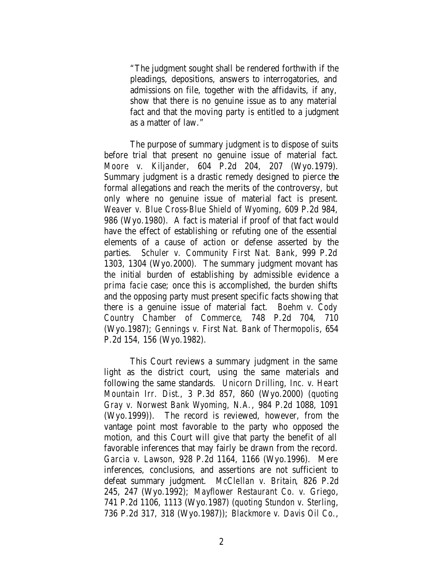"The judgment sought shall be rendered forthwith if the pleadings, depositions, answers to interrogatories, and admissions on file, together with the affidavits, if any, show that there is no genuine issue as to any material fact and that the moving party is entitled to a judgment as a matter of law."

The purpose of summary judgment is to dispose of suits before trial that present no genuine issue of material fact. *Moore v. Kiljander*, 604 P.2d 204, 207 (Wyo.1979). Summary judgment is a drastic remedy designed to pierce the formal allegations and reach the merits of the controversy, but only where no genuine issue of material fact is present. *Weaver v. Blue Cross-Blue Shield of Wyoming*, 609 P.2d 984, 986 (Wyo.1980). A fact is material if proof of that fact would have the effect of establishing or refuting one of the essential elements of a cause of action or defense asserted by the parties. *Schuler v. Community First Nat. Bank*, 999 P.2d 1303, 1304 (Wyo.2000). The summary judgment movant has the initial burden of establishing by admissible evidence a *prima facie* case; once this is accomplished, the burden shifts and the opposing party must present specific facts showing that there is a genuine issue of material fact. *Boehm v. Cody Country Chamber of Commerce*, 748 P.2d 704, 710 (Wyo.1987); *Gennings v. First Nat. Bank of Thermopolis*, 654 P.2d 154, 156 (Wyo.1982).

This Court reviews a summary judgment in the same light as the district court, using the same materials and following the same standards. *Unicorn Drilling, Inc. v. Heart Mountain Irr. Dist.*, 3 P.3d 857, 860 (Wyo.2000) (*quoting Gray v. Norwest Bank Wyoming, N.A.*, 984 P.2d 1088, 1091 (Wyo.1999)). The record is reviewed, however, from the vantage point most favorable to the party who opposed the motion, and this Court will give that party the benefit of all favorable inferences that may fairly be drawn from the record. *Garcia v. Lawson*, 928 P.2d 1164, 1166 (Wyo.1996). Mere inferences, conclusions, and assertions are not sufficient to defeat summary judgment. *McClellan v. Britain*, 826 P.2d 245, 247 (Wyo.1992); *Mayflower Restaurant Co. v. Griego*, 741 P.2d 1106, 1113 (Wyo.1987) (*quoting Stundon v. Sterling*, 736 P.2d 317, 318 (Wyo.1987)); *Blackmore v. Davis Oil Co.*,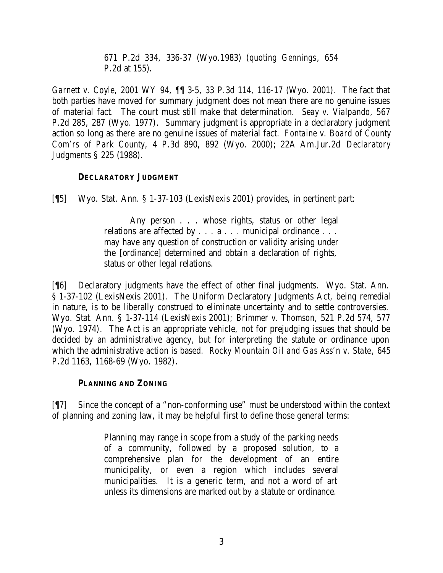671 P.2d 334, 336-37 (Wyo.1983) (*quoting Gennings*, 654 P.2d at 155).

*Garnett v. Coyle*, 2001 WY 94, ¶¶ 3-5, 33 P.3d 114, 116-17 (Wyo. 2001). The fact that both parties have moved for summary judgment does not mean there are no genuine issues of material fact. The court must still make that determination. *Seay v. Vialpando*, 567 P.2d 285, 287 (Wyo. 1977). Summary judgment is appropriate in a declaratory judgment action so long as there are no genuine issues of material fact. *Fontaine v. Board of County Com'rs of Park County*, 4 P.3d 890, 892 (Wyo. 2000); 22A Am.Jur.2d *Declaratory Judgments* § 225 (1988).

## **DECLARATORY JUDGMENT**

[¶5] Wyo. Stat. Ann. § 1-37-103 (LexisNexis 2001) provides, in pertinent part:

Any person . . . whose rights, status or other legal relations are affected by . . . a . . . municipal ordinance . . . may have any question of construction or validity arising under the [ordinance] determined and obtain a declaration of rights, status or other legal relations.

[¶6] Declaratory judgments have the effect of other final judgments. Wyo. Stat. Ann. § 1-37-102 (LexisNexis 2001). The Uniform Declaratory Judgments Act, being remedial in nature, is to be liberally construed to eliminate uncertainty and to settle controversies. Wyo. Stat. Ann. § 1-37-114 (LexisNexis 2001); *Brimmer v. Thomson*, 521 P.2d 574, 577 (Wyo. 1974). The Act is an appropriate vehicle, not for prejudging issues that should be decided by an administrative agency, but for interpreting the statute or ordinance upon which the administrative action is based. *Rocky Mountain Oil and Gas Ass'n v. State*, 645 P.2d 1163, 1168-69 (Wyo. 1982).

## **PLANNING AND ZONING**

[¶7] Since the concept of a "non-conforming use" must be understood within the context of planning and zoning law, it may be helpful first to define those general terms:

> Planning may range in scope from a study of the parking needs of a community, followed by a proposed solution, to a comprehensive plan for the development of an entire municipality, or even a region which includes several municipalities. It is a generic term, and not a word of art unless its dimensions are marked out by a statute or ordinance.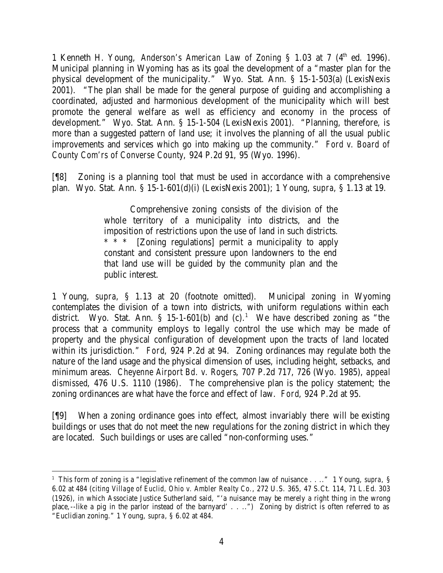1 Kenneth H. Young, *Anderson's American Law of Zoning* § 1.03 at 7 (4th ed. 1996). Municipal planning in Wyoming has as its goal the development of a "master plan for the physical development of the municipality." Wyo. Stat. Ann. § 15-1-503(a) (LexisNexis 2001). "The plan shall be made for the general purpose of guiding and accomplishing a coordinated, adjusted and harmonious development of the municipality which will best promote the general welfare as well as efficiency and economy in the process of development." Wyo. Stat. Ann. § 15-1-504 (LexisNexis 2001). "Planning, therefore, is more than a suggested pattern of land use; it involves the planning of all the usual public improvements and services which go into making up the community." *Ford v. Board of County Com'rs of Converse County*, 924 P.2d 91, 95 (Wyo. 1996).

[¶8] Zoning is a planning tool that must be used in accordance with a comprehensive plan. Wyo. Stat. Ann. § 15-1-601(d)(i) (LexisNexis 2001); 1 Young, *supra*, § 1.13 at 19.

> Comprehensive zoning consists of the division of the whole territory of a municipality into districts, and the imposition of restrictions upon the use of land in such districts. [Zoning regulations] permit a municipality to apply constant and consistent pressure upon landowners to the end that land use will be guided by the community plan and the public interest.

1 Young, *supra*, § 1.13 at 20 (footnote omitted). Municipal zoning in Wyoming contemplates the division of a town into districts, with uniform regulations within each district. Wyo. Stat. Ann. § 15-1-601(b) and  $(c)$ .<sup>1</sup> We have described zoning as "the process that a community employs to legally control the use which may be made of property and the physical configuration of development upon the tracts of land located within its jurisdiction." *Ford*, 924 P.2d at 94. Zoning ordinances may regulate both the nature of the land usage and the physical dimension of uses, including height, setbacks, and minimum areas. *Cheyenne Airport Bd. v. Rogers*, 707 P.2d 717, 726 (Wyo. 1985), *appeal dismissed*, 476 U.S. 1110 (1986). The comprehensive plan is the policy statement; the zoning ordinances are what have the force and effect of law. *Ford*, 924 P.2d at 95.

[¶9] When a zoning ordinance goes into effect, almost invariably there will be existing buildings or uses that do not meet the new regulations for the zoning district in which they are located. Such buildings or uses are called "non-conforming uses."

 1 This form of zoning is a "legislative refinement of the common law of nuisance . . .." 1 Young, *supra*, § 6.02 at 484 (*citing Village of Euclid, Ohio v. Ambler Realty Co.*, 272 U.S. 365, 47 S.Ct. 114, 71 L.Ed. 303 (1926), in which Associate Justice Sutherland said, "'a nuisance may be merely a right thing in the wrong place,--like a pig in the parlor instead of the barnyard' . . ..") Zoning by district is often referred to as "Euclidian zoning." 1 Young, *supra*, § 6.02 at 484.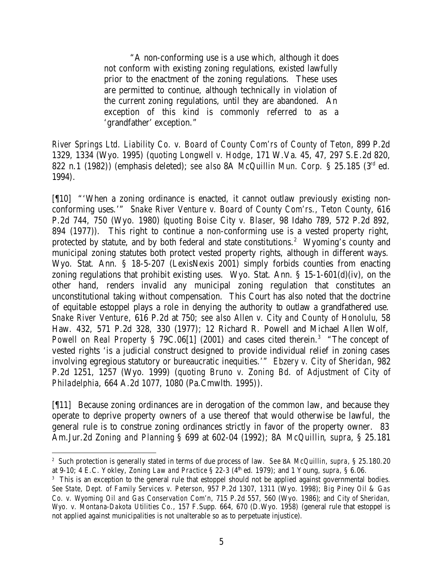"A non-conforming use is a use which, although it does not conform with existing zoning regulations, existed lawfully prior to the enactment of the zoning regulations. These uses are permitted to continue, although technically in violation of the current zoning regulations, until they are abandoned. An exception of this kind is commonly referred to as a 'grandfather' exception."

*River Springs Ltd. Liability Co. v. Board of County Com'rs of County of Teton*, 899 P.2d 1329, 1334 (Wyo. 1995) (*quoting Longwell v. Hodge*, 171 W.Va. 45, 47, 297 S.E.2d 820, 822 n.1 (1982)) (emphasis deleted); *see also* 8A *McQuillin Mun. Corp.* § 25.185 (3rd ed. 1994).

[¶10] "'When a zoning ordinance is enacted, it cannot outlaw previously existing nonconforming uses.'" *Snake River Venture v. Board of County Com'rs., Teton County*, 616 P.2d 744, 750 (Wyo. 1980) (*quoting Boise City v. Blaser*, 98 Idaho 789, 572 P.2d 892, 894 (1977)). This right to continue a non-conforming use is a vested property right, protected by statute, and by both federal and state constitutions.<sup>2</sup> Wyoming's county and municipal zoning statutes both protect vested property rights, although in different ways. Wyo. Stat. Ann. § 18-5-207 (LexisNexis 2001) simply forbids counties from enacting zoning regulations that prohibit existing uses. Wyo. Stat. Ann. § 15-1-601(d)(iv), on the other hand, renders invalid any municipal zoning regulation that constitutes an unconstitutional taking without compensation. This Court has also noted that the doctrine of equitable estoppel plays a role in denying the authority to outlaw a grandfathered use. *Snake River Venture*, 616 P.2d at 750; *see also Allen v. City and County of Honolulu*, 58 Haw. 432, 571 P.2d 328, 330 (1977); 12 Richard R. Powell and Michael Allen Wolf, *Powell on Real Property* § 79C.06[1] (2001) and cases cited therein.<sup>3</sup> "The concept of vested rights 'is a judicial construct designed to provide individual relief in zoning cases involving egregious statutory or bureaucratic inequities.'" *Ebzery v. City of Sheridan*, 982 P.2d 1251, 1257 (Wyo. 1999) (*quoting Bruno v. Zoning Bd. of Adjustment of City of Philadelphia*, 664 A.2d 1077, 1080 (Pa.Cmwlth. 1995)).

[¶11] Because zoning ordinances are in derogation of the common law, and because they operate to deprive property owners of a use thereof that would otherwise be lawful, the general rule is to construe zoning ordinances strictly in favor of the property owner. 83 Am.Jur.2d *Zoning and Planning* § 699 at 602-04 (1992); 8A *McQuillin*, *supra*, § 25.181

<sup>2</sup> Such protection is generally stated in terms of due process of law. *See* 8A *McQuillin*, *supra*, § 25.180.20 at 9-10; 4 E.C. Yokley, *Zoning Law and Practice* § 22-3 (4th ed. 1979); and 1 Young, *supra*, § 6.06.

<sup>&</sup>lt;sup>3</sup> This is an exception to the general rule that estoppel should not be applied against governmental bodies. *See State, Dept. of Family Services v. Peterson*, 957 P.2d 1307, 1311 (Wyo. 1998); *Big Piney Oil & Gas Co. v. Wyoming Oil and Gas Conservation Com'n*, 715 P.2d 557, 560 (Wyo. 1986); and *City of Sheridan, Wyo. v. Montana-Dakota Utilities Co.*, 157 F.Supp. 664, 670 (D.Wyo. 1958) (general rule that estoppel is not applied against municipalities is not unalterable so as to perpetuate injustice).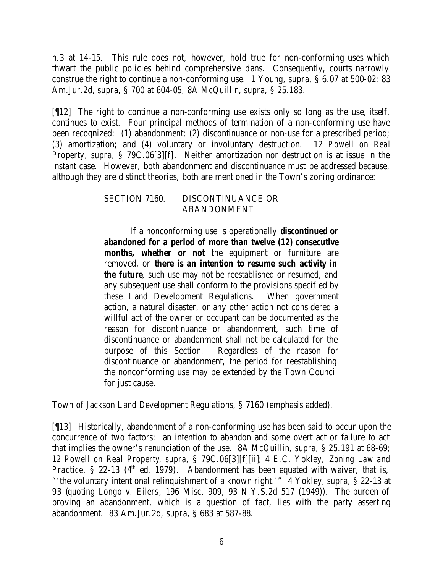n.3 at 14-15. This rule does not, however, hold true for non-conforming uses which thwart the public policies behind comprehensive plans. Consequently, courts narrowly construe the right to continue a non-conforming use. 1 Young, *supra*, § 6.07 at 500-02; 83 Am.Jur.2d, *supra*, § 700 at 604-05; 8A *McQuillin*, *supra*, § 25.183.

[¶12] The right to continue a non-conforming use exists only so long as the use, itself, continues to exist. Four principal methods of termination of a non-conforming use have been recognized: (1) abandonment; (2) discontinuance or non-use for a prescribed period; (3) amortization; and (4) voluntary or involuntary destruction. 12 *Powell on Real Property*, *supra*, § 79C.06[3][f]. Neither amortization nor destruction is at issue in the instant case. However, both abandonment and discontinuance must be addressed because, although they are distinct theories, both are mentioned in the Town's zoning ordinance:

## SECTION 7160. DISCONTINUANCE OR ABANDONMENT

If a nonconforming use is operationally *discontinued or abandoned for a period of more than twelve (12) consecutive months, whether or not* the equipment or furniture are removed, or *there is an intention to resume such activity in the future*, such use may not be reestablished or resumed, and any subsequent use shall conform to the provisions specified by these Land Development Regulations. When government action, a natural disaster, or any other action not considered a willful act of the owner or occupant can be documented as the reason for discontinuance or abandonment, such time of discontinuance or abandonment shall not be calculated for the purpose of this Section. Regardless of the reason for discontinuance or abandonment, the period for reestablishing the nonconforming use may be extended by the Town Council for just cause.

Town of Jackson Land Development Regulations, § 7160 (emphasis added).

[¶13] Historically, abandonment of a non-conforming use has been said to occur upon the concurrence of two factors: an intention to abandon and some overt act or failure to act that implies the owner's renunciation of the use. 8A *McQuillin*, *supra*, § 25.191 at 68-69; 12 *Powell on Real Property*, *supra*, § 79C.06[3][f][ii]; 4 E.C. Yokley, *Zoning Law and Practice,* § 22-13 (4<sup>th</sup> ed. 1979). Abandonment has been equated with waiver, that is, "'the voluntary intentional relinquishment of a known right.'" 4 Yokley, *supra*, § 22-13 at 93 (*quoting Longo v. Eilers*, 196 Misc. 909, 93 N.Y.S.2d 517 (1949)). The burden of proving an abandonment, which is a question of fact, lies with the party asserting abandonment. 83 Am.Jur.2d, *supra*, § 683 at 587-88.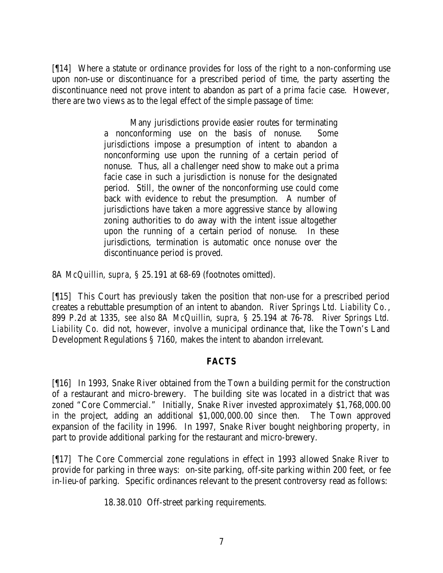[¶14] Where a statute or ordinance provides for loss of the right to a non-conforming use upon non-use or discontinuance for a prescribed period of time, the party asserting the discontinuance need not prove intent to abandon as part of a *prima facie* case. However, there are two views as to the legal effect of the simple passage of time:

> Many jurisdictions provide easier routes for terminating a nonconforming use on the basis of nonuse. Some jurisdictions impose a presumption of intent to abandon a nonconforming use upon the running of a certain period of nonuse. Thus, all a challenger need show to make out a prima facie case in such a jurisdiction is nonuse for the designated period. Still, the owner of the nonconforming use could come back with evidence to rebut the presumption. A number of jurisdictions have taken a more aggressive stance by allowing zoning authorities to do away with the intent issue altogether upon the running of a certain period of nonuse. In these jurisdictions, termination is automatic once nonuse over the discontinuance period is proved.

8A *McQuillin*, *supra*, § 25.191 at 68-69 (footnotes omitted).

[¶15] This Court has previously taken the position that non-use for a prescribed period creates a rebuttable presumption of an intent to abandon. *River Springs Ltd. Liability Co.*, 899 P.2d at 1335, *see also* 8A *McQuillin*, *supra*, § 25.194 at 76-78. *River Springs Ltd. Liability Co.* did not, however, involve a municipal ordinance that, like the Town's Land Development Regulations § 7160, makes the intent to abandon irrelevant.

## **FACTS**

[¶16] In 1993, Snake River obtained from the Town a building permit for the construction of a restaurant and micro-brewery. The building site was located in a district that was zoned "Core Commercial." Initially, Snake River invested approximately \$1,768,000.00 in the project, adding an additional \$1,000,000.00 since then. The Town approved expansion of the facility in 1996. In 1997, Snake River bought neighboring property, in part to provide additional parking for the restaurant and micro-brewery.

[¶17] The Core Commercial zone regulations in effect in 1993 allowed Snake River to provide for parking in three ways: on-site parking, off-site parking within 200 feet, or fee in-lieu-of parking. Specific ordinances relevant to the present controversy read as follows:

18.38.010 Off-street parking requirements.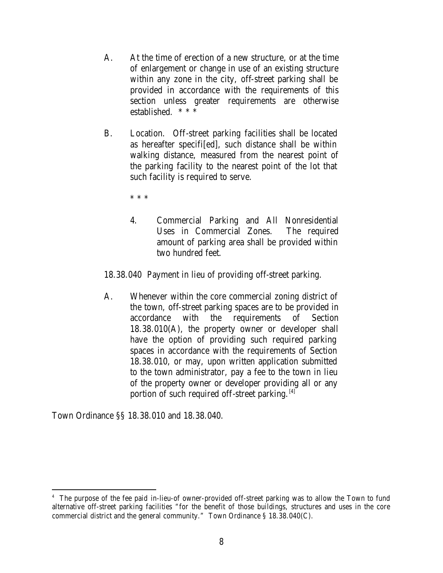- A. At the time of erection of a new structure, or at the time of enlargement or change in use of an existing structure within any zone in the city, off-street parking shall be provided in accordance with the requirements of this section unless greater requirements are otherwise established. \* \* \*
- B. Location. Off-street parking facilities shall be located as hereafter specifi[ed], such distance shall be within walking distance, measured from the nearest point of the parking facility to the nearest point of the lot that such facility is required to serve.

\* \* \*

- 4. Commercial Parking and All Nonresidential Uses in Commercial Zones. The required amount of parking area shall be provided within two hundred feet.
- 18.38.040 Payment in lieu of providing off-street parking.
- A. Whenever within the core commercial zoning district of the town, off-street parking spaces are to be provided in accordance with the requirements of Section 18.38.010(A), the property owner or developer shall have the option of providing such required parking spaces in accordance with the requirements of Section 18.38.010, or may, upon written application submitted to the town administrator, pay a fee to the town in lieu of the property owner or developer providing all or any portion of such required off-street parking.  $[4]$

Town Ordinance §§ 18.38.010 and 18.38.040.

<sup>4</sup> The purpose of the fee paid in-lieu-of owner-provided off-street parking was to allow the Town to fund alternative off-street parking facilities "for the benefit of those buildings, structures and uses in the core commercial district and the general community." Town Ordinance § 18.38.040(C).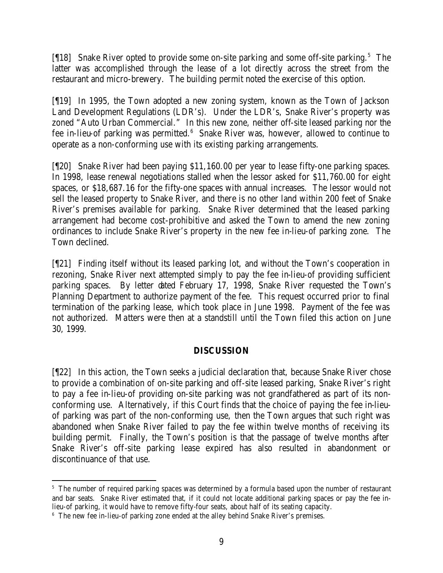[18] Snake River opted to provide some on-site parking and some off-site parking.<sup>5</sup> The latter was accomplished through the lease of a lot directly across the street from the restaurant and micro-brewery. The building permit noted the exercise of this option.

[¶19] In 1995, the Town adopted a new zoning system, known as the Town of Jackson Land Development Regulations (LDR's). Under the LDR's, Snake River's property was zoned "Auto Urban Commercial." In this new zone, neither off-site leased parking nor the fee in-lieu-of parking was permitted.<sup>6</sup> Snake River was, however, allowed to continue to operate as a non-conforming use with its existing parking arrangements.

[¶20] Snake River had been paying \$11,160.00 per year to lease fifty-one parking spaces. In 1998, lease renewal negotiations stalled when the lessor asked for \$11,760.00 for eight spaces, or \$18,687.16 for the fifty-one spaces with annual increases. The lessor would not sell the leased property to Snake River, and there is no other land within 200 feet of Snake River's premises available for parking. Snake River determined that the leased parking arrangement had become cost-prohibitive and asked the Town to amend the new zoning ordinances to include Snake River's property in the new fee in-lieu-of parking zone. The Town declined.

[¶21] Finding itself without its leased parking lot, and without the Town's cooperation in rezoning, Snake River next attempted simply to pay the fee in-lieu-of providing sufficient parking spaces. By letter dated February 17, 1998, Snake River requested the Town's Planning Department to authorize payment of the fee. This request occurred prior to final termination of the parking lease, which took place in June 1998. Payment of the fee was not authorized. Matters were then at a standstill until the Town filed this action on June 30, 1999.

## **DISCUSSION**

[¶22] In this action, the Town seeks a judicial declaration that, because Snake River chose to provide a combination of on-site parking and off-site leased parking, Snake River's right to pay a fee in-lieu-of providing on-site parking was not grandfathered as part of its nonconforming use. Alternatively, if this Court finds that the choice of paying the fee in-lieuof parking was part of the non-conforming use, then the Town argues that such right was abandoned when Snake River failed to pay the fee within twelve months of receiving its building permit. Finally, the Town's position is that the passage of twelve months after Snake River's off-site parking lease expired has also resulted in abandonment or discontinuance of that use.

<sup>&</sup>lt;sup>5</sup> The number of required parking spaces was determined by a formula based upon the number of restaurant and bar seats. Snake River estimated that, if it could not locate additional parking spaces or pay the fee inlieu-of parking, it would have to remove fifty-four seats, about half of its seating capacity.

<sup>&</sup>lt;sup>6</sup> The new fee in-lieu-of parking zone ended at the alley behind Snake River's premises.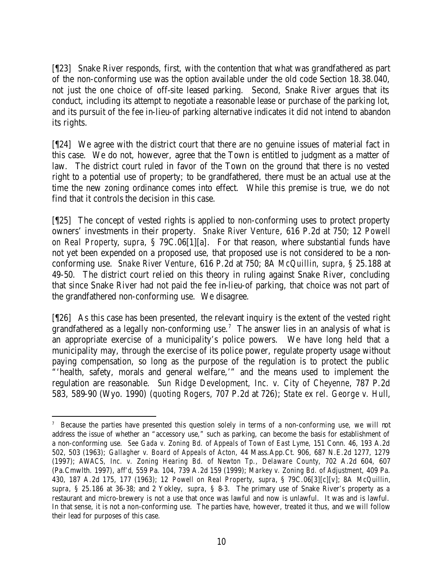[¶23] Snake River responds, first, with the contention that what was grandfathered as part of the non-conforming use was the option available under the old code Section 18.38.040, not just the one choice of off-site leased parking. Second, Snake River argues that its conduct, including its attempt to negotiate a reasonable lease or purchase of the parking lot, and its pursuit of the fee in-lieu-of parking alternative indicates it did not intend to abandon its rights.

[¶24] We agree with the district court that there are no genuine issues of material fact in this case. We do not, however, agree that the Town is entitled to judgment as a matter of law. The district court ruled in favor of the Town on the ground that there is no vested right to a potential use of property; to be grandfathered, there must be an actual use at the time the new zoning ordinance comes into effect. While this premise is true, we do not find that it controls the decision in this case.

[¶25] The concept of vested rights is applied to non-conforming uses to protect property owners' investments in their property. *Snake River Venture*, 616 P.2d at 750; 12 *Powell on Real Property*, *supra*, § 79C.06[1][a]. For that reason, where substantial funds have not yet been expended on a proposed use, that proposed use is not considered to be a nonconforming use. *Snake River Venture*, 616 P.2d at 750; 8A *McQuillin*, *supra*, § 25.188 at 49-50. The district court relied on this theory in ruling against Snake River, concluding that since Snake River had not paid the fee in-lieu-of parking, that choice was not part of the grandfathered non-conforming use. We disagree.

[¶26] As this case has been presented, the relevant inquiry is the extent of the vested right grandfathered as a legally non-conforming use.<sup>7</sup> The answer lies in an analysis of what is an appropriate exercise of a municipality's police powers. We have long held that a municipality may, through the exercise of its police power, regulate property usage without paying compensation, so long as the purpose of the regulation is to protect the public "'health, safety, morals and general welfare,'" and the means used to implement the regulation are reasonable. *Sun Ridge Development, Inc. v. City of Cheyenne*, 787 P.2d 583, 589-90 (Wyo. 1990) (*quoting Rogers*, 707 P.2d at 726); *State ex rel. George v. Hull*,

<sup>7</sup> Because the parties have presented this question solely in terms of a non-conforming use, we will not address the issue of whether an "accessory use," such as parking, can become the basis for establishment of a non-conforming use. *See Gada v. Zoning Bd. of Appeals of Town of East Lyme*, 151 Conn. 46, 193 A.2d 502, 503 (1963); *Gallagher v. Board of Appeals of Acton*, 44 Mass.App.Ct. 906, 687 N.E.2d 1277, 1279 (1997); *AWACS, Inc. v. Zoning Hearing Bd. of Newton Tp., Delaware County*, 702 A.2d 604, 607 (Pa.Cmwlth. 1997), *aff'd*, 559 Pa. 104, 739 A.2d 159 (1999); *Markey v. Zoning Bd. of Adjustment*, 409 Pa. 430, 187 A.2d 175, 177 (1963); 12 *Powell on Real Property*, *supra*, § 79C.06[3][c][v]; 8A *McQuillin*, *supra*, § 25.186 at 36-38; and 2 Yokley, *supra*, § 8-3. The primary use of Snake River's property as a restaurant and micro-brewery is not a use that once was lawful and now is unlawful. It was and is lawful. In that sense, it is not a non-conforming use. The parties have, however, treated it thus, and we will follow their lead for purposes of this case.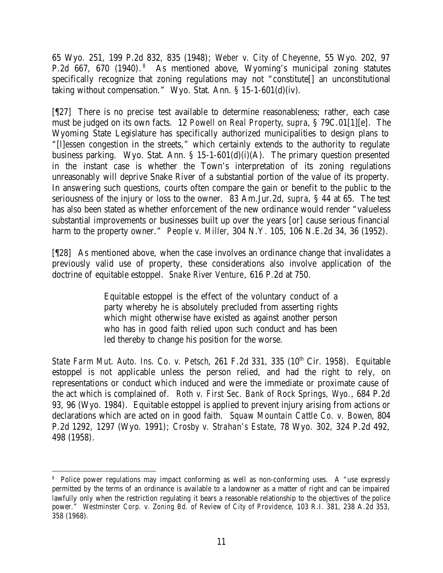65 Wyo. 251, 199 P.2d 832, 835 (1948); *Weber v. City of Cheyenne*, 55 Wyo. 202, 97 P.2d 667, 670 (1940).<sup>8</sup> As mentioned above, Wyoming's municipal zoning statutes specifically recognize that zoning regulations may not "constitute[] an unconstitutional taking without compensation." Wyo. Stat. Ann.  $\S$  15-1-601(d)(iv).

[¶27] There is no precise test available to determine reasonableness; rather, each case must be judged on its own facts. 12 *Powell on Real Property*, *supra*, § 79C.01[1][e]. The Wyoming State Legislature has specifically authorized municipalities to design plans to "[l]essen congestion in the streets," which certainly extends to the authority to regulate business parking. Wyo. Stat. Ann. § 15-1-601(d)(i)(A). The primary question presented in the instant case is whether the Town's interpretation of its zoning regulations unreasonably will deprive Snake River of a substantial portion of the value of its property. In answering such questions, courts often compare the gain or benefit to the public to the seriousness of the injury or loss to the owner. 83 Am.Jur.2d, *supra*, § 44 at 65. The test has also been stated as whether enforcement of the new ordinance would render "valueless substantial improvements or businesses built up over the years [or] cause serious financial harm to the property owner." *People v. Miller*, 304 N.Y. 105, 106 N.E.2d 34, 36 (1952).

[¶28] As mentioned above, when the case involves an ordinance change that invalidates a previously valid use of property, these considerations also involve application of the doctrine of equitable estoppel. *Snake River Venture*, 616 P.2d at 750.

> Equitable estoppel is the effect of the voluntary conduct of a party whereby he is absolutely precluded from asserting rights which might otherwise have existed as against another person who has in good faith relied upon such conduct and has been led thereby to change his position for the worse.

*State Farm Mut. Auto. Ins. Co. v. Petsch, 261 F.2d 331, 335 (10<sup>th</sup> Cir. 1958). Equitable* estoppel is not applicable unless the person relied, and had the right to rely, on representations or conduct which induced and were the immediate or proximate cause of the act which is complained of. *Roth v. First Sec. Bank of Rock Springs, Wyo.*, 684 P.2d 93, 96 (Wyo. 1984). Equitable estoppel is applied to prevent injury arising from actions or declarations which are acted on in good faith. *Squaw Mountain Cattle Co. v. Bowen*, 804 P.2d 1292, 1297 (Wyo. 1991); *Crosby v. Strahan's Estate*, 78 Wyo. 302, 324 P.2d 492, 498 (1958).

 <sup>8</sup> Police power regulations may impact conforming as well as non-conforming uses. A "use expressly permitted by the terms of an ordinance is available to a landowner as a matter of right and can be impaired lawfully only when the restriction regulating it bears a reasonable relationship to the objectives of the police power." *Westminster Corp. v. Zoning Bd. of Review of City of Providence*, 103 R.I. 381, 238 A.2d 353, 358 (1968).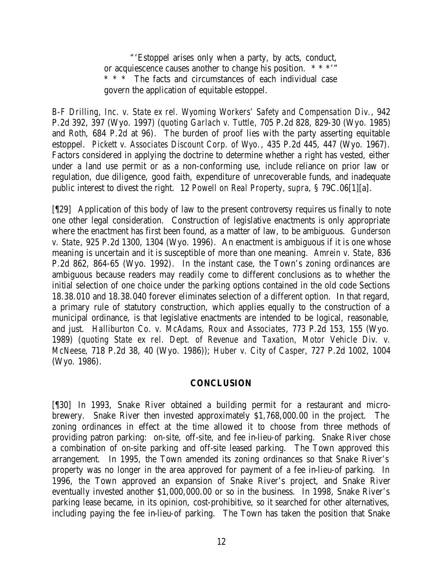"'Estoppel arises only when a party, by acts, conduct, or acquiescence causes another to change his position.  $***$ The facts and circumstances of each individual case govern the application of equitable estoppel.

*B-F Drilling, Inc. v. State ex rel. Wyoming Workers' Safety and Compensation Div.*, 942 P.2d 392, 397 (Wyo. 1997) (*quoting Garlach v. Tuttle*, 705 P.2d 828, 829-30 (Wyo. 1985) and *Roth*, 684 P.2d at 96). The burden of proof lies with the party asserting equitable estoppel. *Pickett v. Associates Discount Corp. of Wyo.*, 435 P.2d 445, 447 (Wyo. 1967). Factors considered in applying the doctrine to determine whether a right has vested, either under a land use permit or as a non-conforming use, include reliance on prior law or regulation, due diligence, good faith, expenditure of unrecoverable funds, and inadequate public interest to divest the right. 12 *Powell on Real Property*, *supra*, § 79C.06[1][a].

[¶29] Application of this body of law to the present controversy requires us finally to note one other legal consideration. Construction of legislative enactments is only appropriate where the enactment has first been found, as a matter of law, to be ambiguous. *Gunderson v. State*, 925 P.2d 1300, 1304 (Wyo. 1996). An enactment is ambiguous if it is one whose meaning is uncertain and it is susceptible of more than one meaning. *Amrein v. State*, 836 P.2d 862, 864-65 (Wyo. 1992). In the instant case, the Town's zoning ordinances are ambiguous because readers may readily come to different conclusions as to whether the initial selection of one choice under the parking options contained in the old code Sections 18.38.010 and 18.38.040 forever eliminates selection of a different option. In that regard, a primary rule of statutory construction, which applies equally to the construction of a municipal ordinance, is that legislative enactments are intended to be logical, reasonable, and just. *Halliburton Co. v. McAdams, Roux and Associates*, 773 P.2d 153, 155 (Wyo. 1989) (*quoting State ex rel. Dept. of Revenue and Taxation, Motor Vehicle Div. v. McNeese*, 718 P.2d 38, 40 (Wyo. 1986)); *Huber v. City of Casper*, 727 P.2d 1002, 1004 (Wyo. 1986).

## **CONCLUSION**

[¶30] In 1993, Snake River obtained a building permit for a restaurant and microbrewery. Snake River then invested approximately \$1,768,000.00 in the project. The zoning ordinances in effect at the time allowed it to choose from three methods of providing patron parking: on-site, off-site, and fee in-lieu-of parking. Snake River chose a combination of on-site parking and off-site leased parking. The Town approved this arrangement. In 1995, the Town amended its zoning ordinances so that Snake River's property was no longer in the area approved for payment of a fee in-lieu-of parking. In 1996, the Town approved an expansion of Snake River's project, and Snake River eventually invested another \$1,000,000.00 or so in the business. In 1998, Snake River's parking lease became, in its opinion, cost-prohibitive, so it searched for other alternatives, including paying the fee in-lieu-of parking. The Town has taken the position that Snake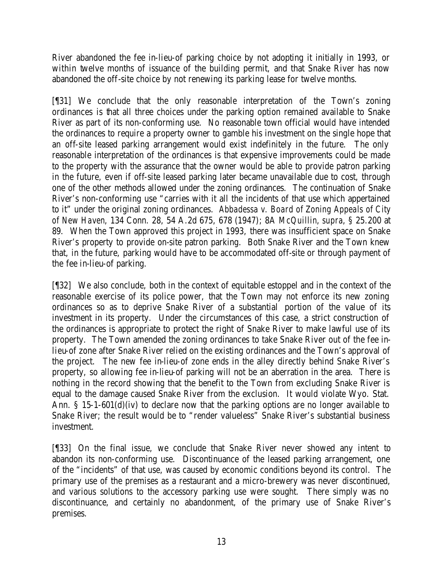River abandoned the fee in-lieu-of parking choice by not adopting it initially in 1993, or within twelve months of issuance of the building permit, and that Snake River has now abandoned the off-site choice by not renewing its parking lease for twelve months.

[¶31] We conclude that the only reasonable interpretation of the Town's zoning ordinances is that all three choices under the parking option remained available to Snake River as part of its non-conforming use. No reasonable town official would have intended the ordinances to require a property owner to gamble his investment on the single hope that an off-site leased parking arrangement would exist indefinitely in the future. The only reasonable interpretation of the ordinances is that expensive improvements could be made to the property with the assurance that the owner would be able to provide patron parking in the future, even if off-site leased parking later became unavailable due to cost, through one of the other methods allowed under the zoning ordinances. The continuation of Snake River's non-conforming use "carries with it all the incidents of that use which appertained to it" under the original zoning ordinances. *Abbadessa v. Board of Zoning Appeals of City of New Haven*, 134 Conn. 28, 54 A.2d 675, 678 (1947); 8A *McQuillin*, *supra*, § 25.200 at 89. When the Town approved this project in 1993, there was insufficient space on Snake River's property to provide on-site patron parking. Both Snake River and the Town knew that, in the future, parking would have to be accommodated off-site or through payment of the fee in-lieu-of parking.

[¶32] We also conclude, both in the context of equitable estoppel and in the context of the reasonable exercise of its police power, that the Town may not enforce its new zoning ordinances so as to deprive Snake River of a substantial portion of the value of its investment in its property. Under the circumstances of this case, a strict construction of the ordinances is appropriate to protect the right of Snake River to make lawful use of its property. The Town amended the zoning ordinances to take Snake River out of the fee inlieu-of zone after Snake River relied on the existing ordinances and the Town's approval of the project. The new fee in-lieu-of zone ends in the alley directly behind Snake River's property, so allowing fee in-lieu-of parking will not be an aberration in the area. There is nothing in the record showing that the benefit to the Town from excluding Snake River is equal to the damage caused Snake River from the exclusion. It would violate Wyo. Stat. Ann. § 15-1-601(d)(iv) to declare now that the parking options are no longer available to Snake River; the result would be to "render valueless" Snake River's substantial business investment.

[¶33] On the final issue, we conclude that Snake River never showed any intent to abandon its non-conforming use. Discontinuance of the leased parking arrangement, one of the "incidents" of that use, was caused by economic conditions beyond its control. The primary use of the premises as a restaurant and a micro-brewery was never discontinued, and various solutions to the accessory parking use were sought. There simply was no discontinuance, and certainly no abandonment, of the primary use of Snake River's premises.